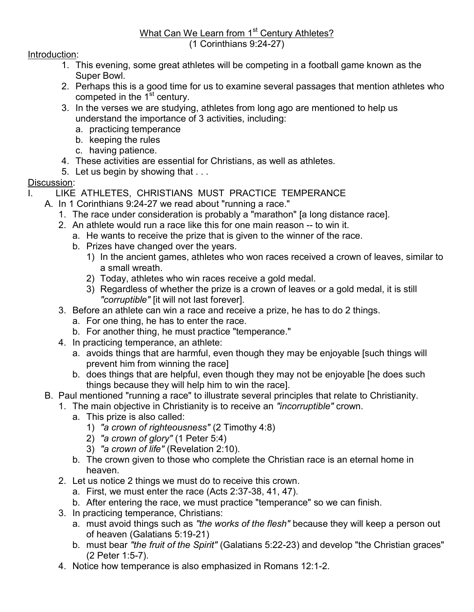## What Can We Learn from 1<sup>st</sup> Century Athletes? (1 Corinthians 9:24-27)

## Introduction:

- 1. This evening, some great athletes will be competing in a football game known as the Super Bowl.
- 2. Perhaps this is a good time for us to examine several passages that mention athletes who competed in the  $1<sup>st</sup>$  century.
- 3. In the verses we are studying, athletes from long ago are mentioned to help us understand the importance of 3 activities, including:
	- a. practicing temperance
	- b. keeping the rules
	- c. having patience.
- 4. These activities are essential for Christians, as well as athletes.
- 5. Let us begin by showing that . . .

## Discussion:

- LIKE ATHLETES, CHRISTIANS MUST PRACTICE TEMPERANCE
- A. In 1 Corinthians 9:24-27 we read about "running a race."
	- 1. The race under consideration is probably a "marathon" [a long distance race].
	- 2. An athlete would run a race like this for one main reason -- to win it.
		- a. He wants to receive the prize that is given to the winner of the race.
		- b. Prizes have changed over the years.
			- 1) In the ancient games, athletes who won races received a crown of leaves, similar to a small wreath.
			- 2) Today, athletes who win races receive a gold medal.
			- 3) Regardless of whether the prize is a crown of leaves or a gold medal, it is still "corruptible" [it will not last forever].
	- 3. Before an athlete can win a race and receive a prize, he has to do 2 things.
		- a. For one thing, he has to enter the race.
		- b. For another thing, he must practice "temperance."
	- 4. In practicing temperance, an athlete:
		- a. avoids things that are harmful, even though they may be enjoyable [such things will prevent him from winning the race]
		- b. does things that are helpful, even though they may not be enjoyable [he does such things because they will help him to win the race].
- B. Paul mentioned "running a race" to illustrate several principles that relate to Christianity.
	- 1. The main objective in Christianity is to receive an "incorruptible" crown.
		- a. This prize is also called:
			- 1) "a crown of righteousness" (2 Timothy 4:8)
			- 2) "a crown of glory" (1 Peter 5:4)
			- 3) "a crown of life" (Revelation 2:10).
		- b. The crown given to those who complete the Christian race is an eternal home in heaven.
	- 2. Let us notice 2 things we must do to receive this crown.
		- a. First, we must enter the race (Acts 2:37-38, 41, 47).
		- b. After entering the race, we must practice "temperance" so we can finish.
	- 3. In practicing temperance, Christians:
		- a. must avoid things such as "the works of the flesh" because they will keep a person out of heaven (Galatians 5:19-21)
		- b. must bear "the fruit of the Spirit" (Galatians 5:22-23) and develop "the Christian graces" (2 Peter 1:5-7).
	- 4. Notice how temperance is also emphasized in Romans 12:1-2.